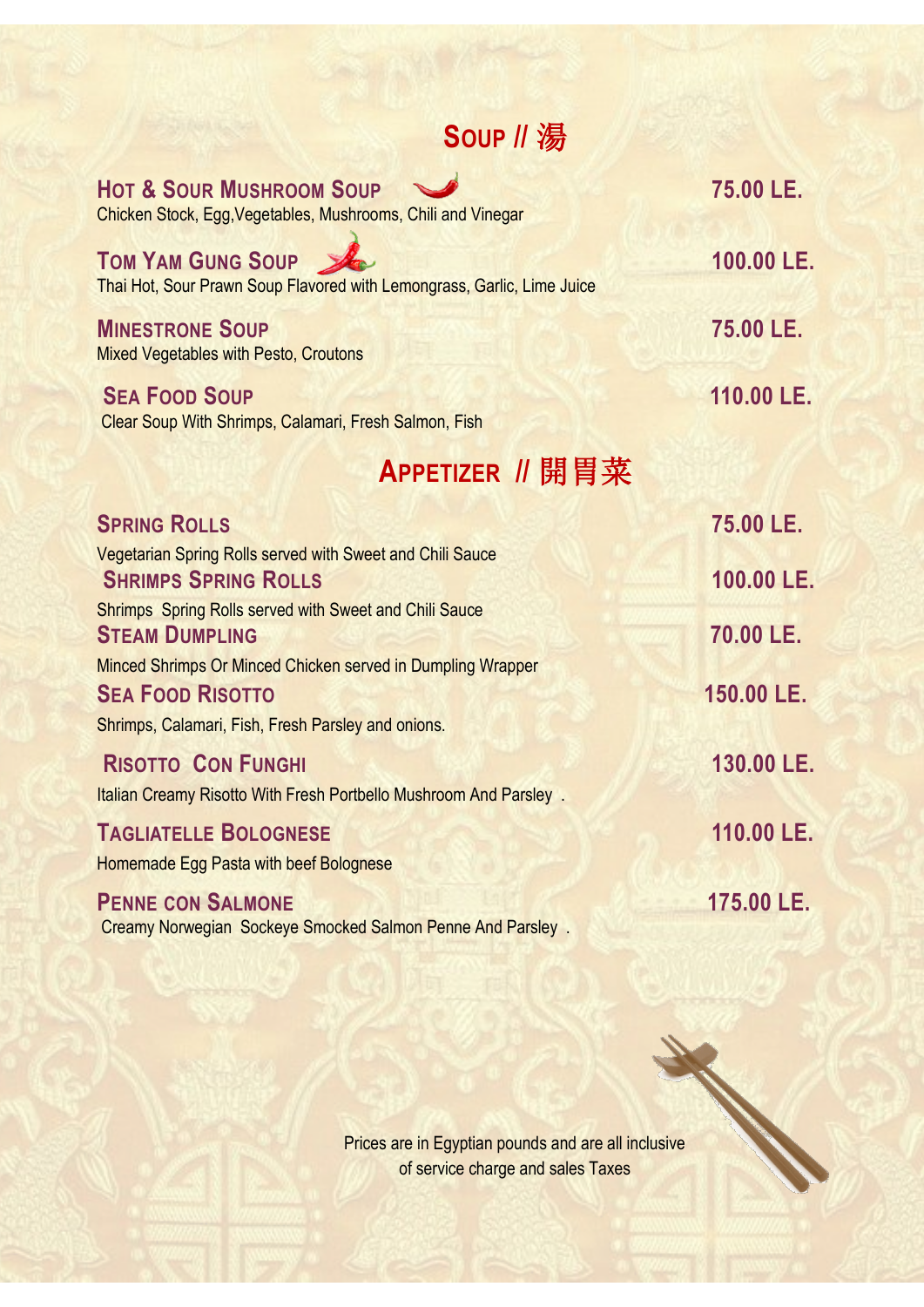# **SOUP //** 湯

| <b>HOT &amp; SOUR MUSHROOM SOUP</b><br>Chicken Stock, Egg, Vegetables, Mushrooms, Chili and Vinegar                                          | 75.00 LE.  |
|----------------------------------------------------------------------------------------------------------------------------------------------|------------|
| <b>TOM YAM GUNG SOUP</b><br>Thai Hot, Sour Prawn Soup Flavored with Lemongrass, Garlic, Lime Juice                                           | 100.00 LE. |
| <b>MINESTRONE SOUP</b><br><b>Mixed Vegetables with Pesto, Croutons</b>                                                                       | 75.00 LE.  |
| <b>SEA FOOD SOUP</b><br>Clear Soup With Shrimps, Calamari, Fresh Salmon, Fish                                                                | 110.00 LE. |
| APPETIZER // 開胃菜                                                                                                                             |            |
| <b>SPRING ROLLS</b>                                                                                                                          | 75.00 LE.  |
| Vegetarian Spring Rolls served with Sweet and Chili Sauce<br><b>SHRIMPS SPRING ROLLS</b>                                                     | 100.00 LE. |
| <b>Shrimps</b> Spring Rolls served with Sweet and Chili Sauce<br><b>STEAM DUMPLING</b>                                                       | 70.00 LE.  |
| Minced Shrimps Or Minced Chicken served in Dumpling Wrapper<br><b>SEA FOOD RISOTTO</b><br>Shrimps, Calamari, Fish, Fresh Parsley and onions. | 150.00 LE. |
| <b>RISOTTO CON FUNGHI</b><br>Italian Creamy Risotto With Fresh Portbello Mushroom And Parsley.                                               | 130.00 LE. |
| <b>TAGLIATELLE BOLOGNESE</b><br>Homemade Egg Pasta with beef Bolognese                                                                       | 110.00 LE. |
| <b>PENNE CON SALMONE</b><br>Creamy Norwegian Sockeye Smocked Salmon Penne And Parsley.                                                       | 175.00 LE. |

Prices are in Egyptian pounds and are all inclusive of service charge and sales Taxes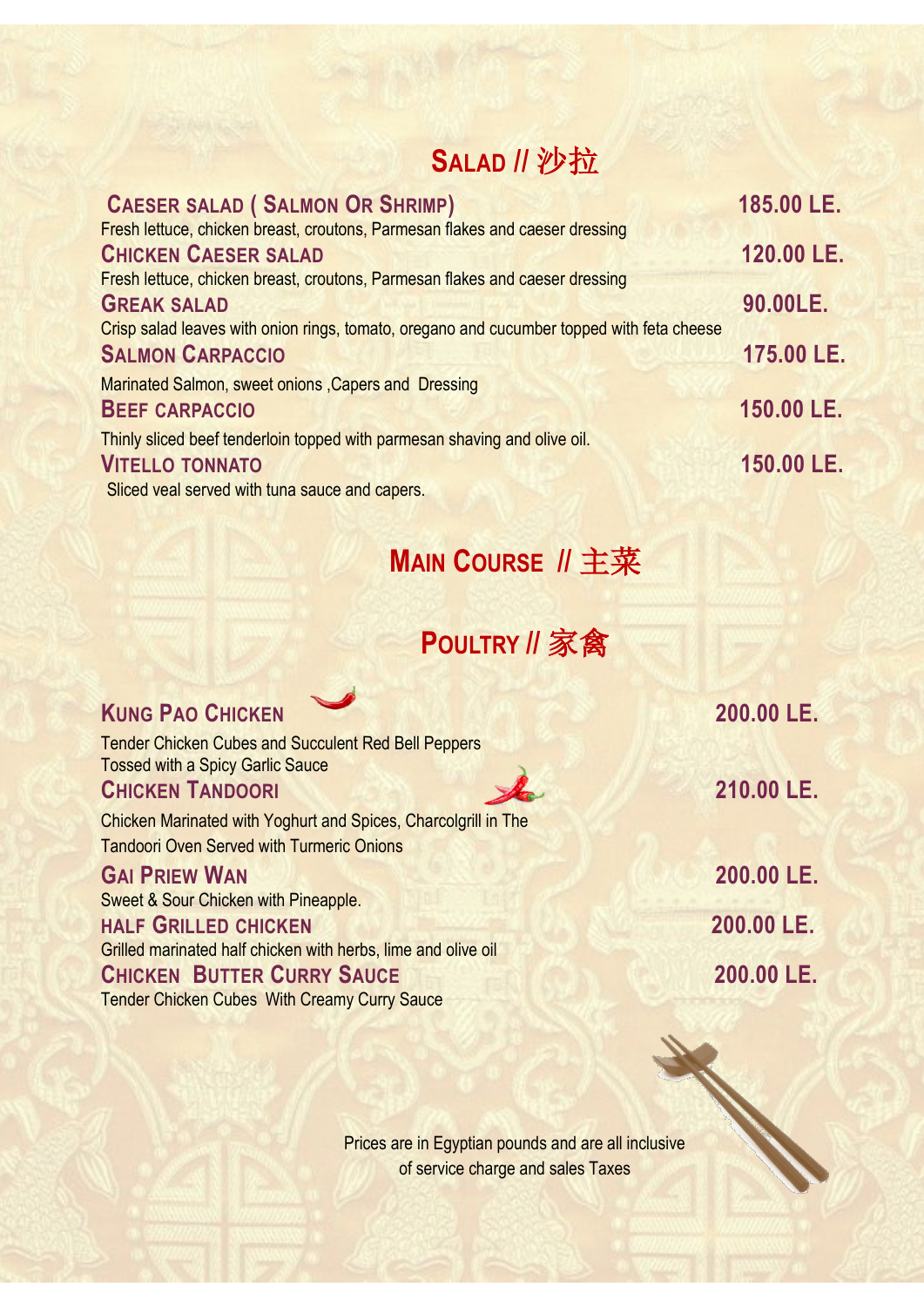### **SALAD //** 沙拉

| <b>CAESER SALAD (SALMON OR SHRIMP)</b>                                                    | 185.00 LE. |
|-------------------------------------------------------------------------------------------|------------|
| Fresh lettuce, chicken breast, croutons, Parmesan flakes and caeser dressing              |            |
| <b>CHICKEN CAESER SALAD</b>                                                               | 120.00 LE. |
| Fresh lettuce, chicken breast, croutons, Parmesan flakes and caeser dressing              |            |
| <b>GREAK SALAD</b>                                                                        | 90.00LE.   |
| Crisp salad leaves with onion rings, tomato, oregano and cucumber topped with feta cheese |            |
| <b>SALMON CARPACCIO</b>                                                                   | 175.00 LE. |
| Marinated Salmon, sweet onions, Capers and Dressing                                       |            |
| <b>BEEF CARPACCIO</b>                                                                     | 150.00 LE. |
| Thinly sliced beef tenderloin topped with parmesan shaving and olive oil.                 |            |
| <b>VITELLO TONNATO</b>                                                                    | 150.00 LE. |
| Sliced veal served with tuna sauce and capers.                                            |            |

# **MAIN COURSE //** 主菜

## **POULTRY //** 家禽

| <b>KUNG PAO CHICKEN</b>                                                                                            | 200.00 LE. |
|--------------------------------------------------------------------------------------------------------------------|------------|
| <b>Tender Chicken Cubes and Succulent Red Bell Peppers</b><br><b>Tossed with a Spicy Garlic Sauce</b>              |            |
| <b>CHICKEN TANDOORI</b>                                                                                            | 210.00 LE. |
| Chicken Marinated with Yoghurt and Spices, Charcolgrill in The<br><b>Tandoori Oven Served with Turmeric Onions</b> |            |
| <b>GAI PRIEW WAN</b>                                                                                               | 200.00 LE. |
| Sweet & Sour Chicken with Pineapple.                                                                               |            |
| <b>HALF GRILLED CHICKEN</b>                                                                                        | 200.00 LE. |
| Grilled marinated half chicken with herbs, lime and olive oil                                                      |            |
| <b>CHICKEN BUTTER CURRY SAUCE</b>                                                                                  | 200.00 LE. |
| <b>Tender Chicken Cubes With Creamy Curry Sauce</b>                                                                |            |
|                                                                                                                    |            |
| Prices are in Egyptian pounds and are all inclusive                                                                |            |
| of service charge and sales Taxes                                                                                  |            |

of service charge and sales Taxes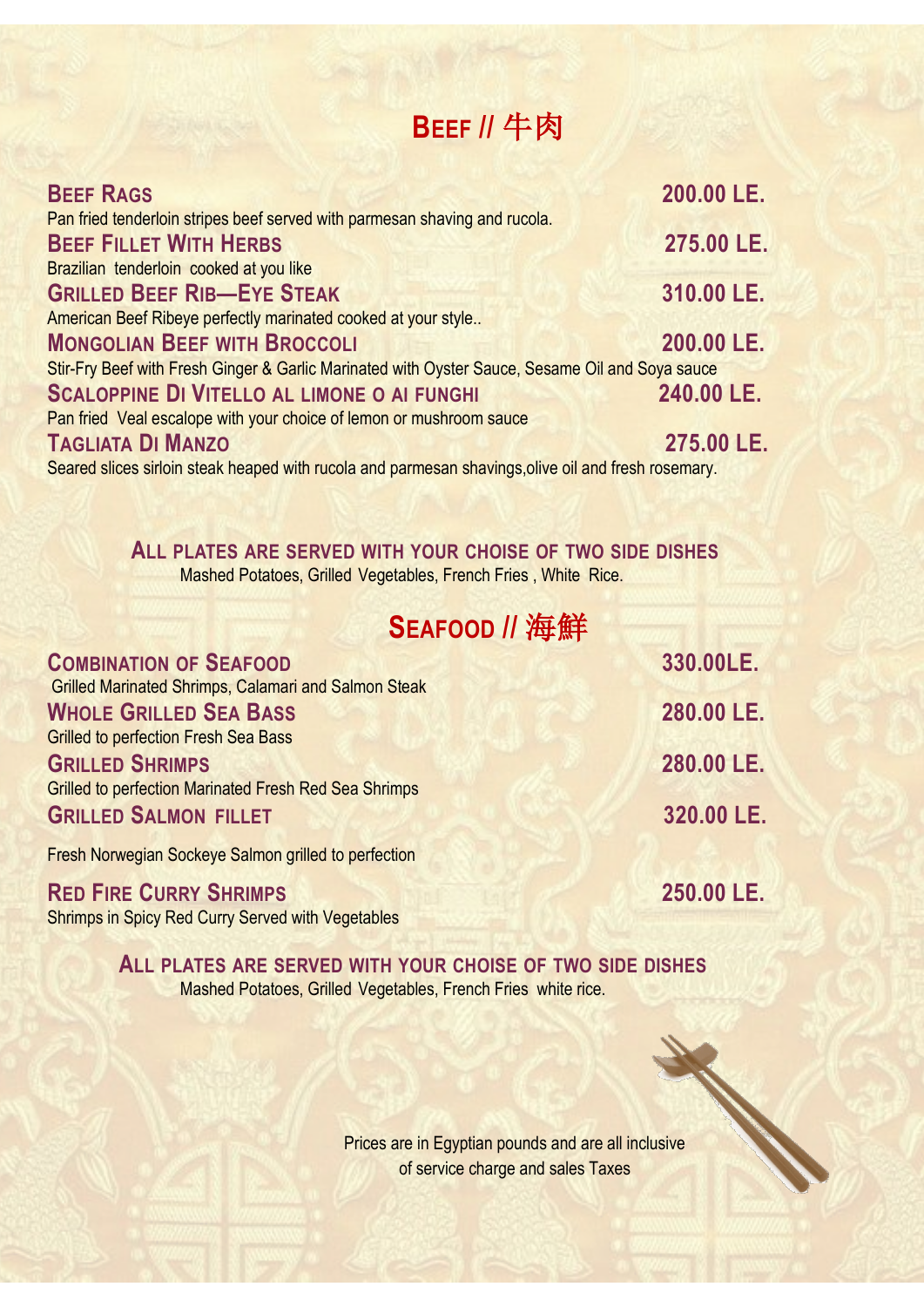#### **BEEF //** 牛肉

| <b>BEEF RAGS</b>                                                                                    | 200.00 LE. |
|-----------------------------------------------------------------------------------------------------|------------|
| Pan fried tenderloin stripes beef served with parmesan shaving and rucola.                          |            |
| <b>BEEF FILLET WITH HERBS</b>                                                                       | 275.00 LE. |
| Brazilian tenderloin cooked at you like                                                             |            |
| <b>GRILLED BEEF RIB-EYE STEAK</b>                                                                   | 310.00 LE. |
| American Beef Ribeye perfectly marinated cooked at your style                                       |            |
| <b>MONGOLIAN BEEF WITH BROCCOLI</b>                                                                 | 200.00 LE. |
| Stir-Fry Beef with Fresh Ginger & Garlic Marinated with Oyster Sauce, Sesame Oil and Soya sauce     |            |
| <b>SCALOPPINE DI VITELLO AL LIMONE O AI FUNGHI</b>                                                  | 240.00 LE. |
| Pan fried Veal escalope with your choice of lemon or mushroom sauce                                 |            |
| <b>TAGLIATA DI MANZO</b>                                                                            | 275.00 LE. |
| Seared slices sirloin steak heaped with rucola and parmesan shavings, olive oil and fresh rosemary. |            |

 **ALL PLATES ARE SERVED WITH YOUR CHOISE OF TWO SIDE DISHES** Mashed Potatoes, Grilled Vegetables, French Fries , White Rice.

### **SEAFOOD //** 海鮮

| 330.00LE.  |
|------------|
|            |
| 280.00 LE. |
|            |
| 280.00 LE. |
|            |
| 320.00 LE. |
|            |
| 250.00 LE. |
|            |

Shrimps in Spicy Red Curry Served with Vegetables

 **ALL PLATES ARE SERVED WITH YOUR CHOISE OF TWO SIDE DISHES Mashed Potatoes, Grilled Vegetables, French Fries white rice.** 

> Prices are in Egyptian pounds and are all inclusive of service charge and sales Taxes